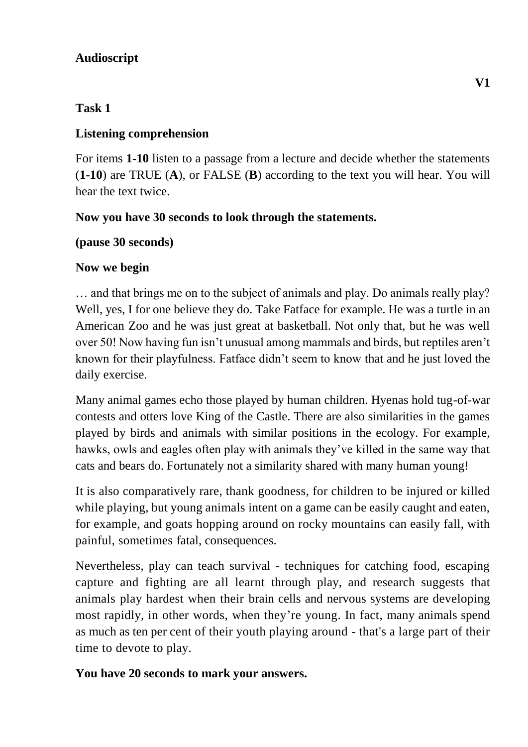### **Audioscript**

## **Task 1**

## **Listening comprehension**

For items **1-10** listen to a passage from a lecture and decide whether the statements (**1-10**) are TRUE (**A**), or FALSE (**B**) according to the text you will hear. You will hear the text twice.

## **Now you have 30 seconds to look through the statements.**

## **(pause 30 seconds)**

# **Now we begin**

… and that brings me on to the subject of animals and play. Do animals really play? Well, yes, I for one believe they do. Take Fatface for example. He was a turtle in an American Zoo and he was just great at basketball. Not only that, but he was well over 50! Now having fun isn't unusual among mammals and birds, but reptiles aren't known for their playfulness. Fatface didn't seem to know that and he just loved the daily exercise.

Many animal games echo those played by human children. Hyenas hold tug-of-war contests and otters love King of the Castle. There are also similarities in the games played by birds and animals with similar positions in the ecology. For example, hawks, owls and eagles often play with animals they've killed in the same way that cats and bears do. Fortunately not a similarity shared with many human young!

It is also comparatively rare, thank goodness, for children to be injured or killed while playing, but young animals intent on a game can be easily caught and eaten, for example, and goats hopping around on rocky mountains can easily fall, with painful, sometimes fatal, consequences.

Nevertheless, play can teach survival - techniques for catching food, escaping capture and fighting are all learnt through play, and research suggests that animals play hardest when their brain cells and nervous systems are developing most rapidly, in other words, when they're young. In fact, many animals spend as much as ten per cent of their youth playing around - that's a large part of their time to devote to play.

## **You have 20 seconds to mark your answers.**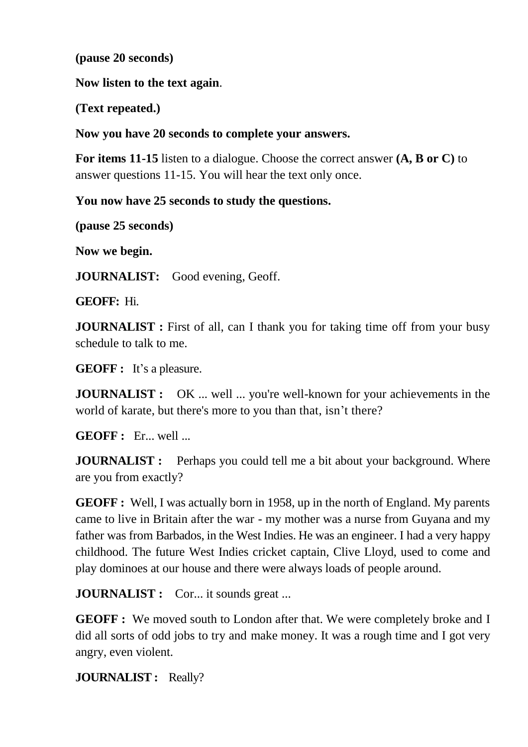**(pause 20 seconds)**

**Now listen to the text again**.

**(Text repeated.)**

**Now you have 20 seconds to complete your answers.**

**For items 11-15** listen to a dialogue. Choose the correct answer **(A, B or C)** to answer questions 11-15. You will hear the text only once.

**You now have 25 seconds to study the questions.**

**(pause 25 seconds)**

**Now we begin.**

**JOURNALIST:** Good evening, Geoff.

**GEOFF:** Hi.

**JOURNALIST** : First of all, can I thank you for taking time off from your busy schedule to talk to me.

**GEOFF :** It's a pleasure.

**JOURNALIST :** OK ... well ... you're well-known for your achievements in the world of karate, but there's more to you than that, isn't there?

**GEOFF :** Er... well ...

**JOURNALIST** : Perhaps you could tell me a bit about your background. Where are you from exactly?

**GEOFF :** Well, I was actually born in 1958, up in the north of England. My parents came to live in Britain after the war - my mother was a nurse from Guyana and my father was from Barbados, in the West Indies. He was an engineer. I had a very happy childhood. The future West Indies cricket captain, Clive Lloyd, used to come and play dominoes at our house and there were always loads of people around.

**JOURNALIST :** Cor... it sounds great ...

**GEOFF**: We moved south to London after that. We were completely broke and I did all sorts of odd jobs to try and make money. It was a rough time and I got very angry, even violent.

**JOURNALIST :** Really?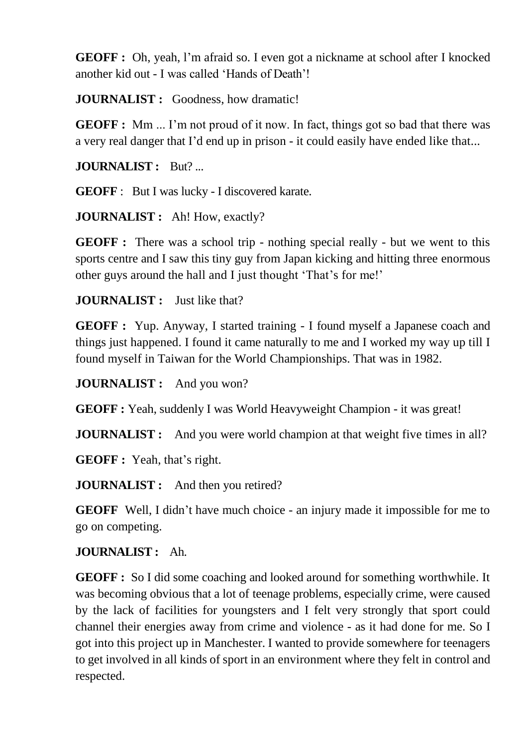**GEOFF :** Oh, yeah, l'm afraid so. I even got a nickname at school after I knocked another kid out - I was called 'Hands of Death'!

**JOURNALIST** : Goodness, how dramatic!

**GEOFF** : Mm ... I'm not proud of it now. In fact, things got so bad that there was a very real danger that I'd end up in prison - it could easily have ended like that...

**JOURNALIST :** But? ...

**GEOFF** : But I was lucky - I discovered karate.

**JOURNALIST :** Ah! How, exactly?

**GEOFF**: There was a school trip - nothing special really - but we went to this sports centre and I saw this tiny guy from Japan kicking and hitting three enormous other guys around the hall and I just thought 'That's for me!'

**JOURNALIST :** Just like that?

**GEOFF :** Yup. Anyway, I started training - I found myself a Japanese coach and things just happened. I found it came naturally to me and I worked my way up till I found myself in Taiwan for the World Championships. That was in 1982.

**JOURNALIST :** And you won?

**GEOFF :** Yeah, suddenly I was World Heavyweight Champion - it was great!

**JOURNALIST :** And you were world champion at that weight five times in all?

**GEOFF :** Yeah, that's right.

**JOURNALIST** : And then you retired?

**GEOFF** Well, I didn't have much choice - an injury made it impossible for me to go on competing.

**JOURNALIST :** Ah.

**GEOFF :** So I did some coaching and looked around for something worthwhile. It was becoming obvious that a lot of teenage problems, especially crime, were caused by the lack of facilities for youngsters and I felt very strongly that sport could channel their energies away from crime and violence - as it had done for me. So I got into this project up in Manchester. I wanted to provide somewhere for teenagers to get involved in all kinds of sport in an environment where they felt in control and respected.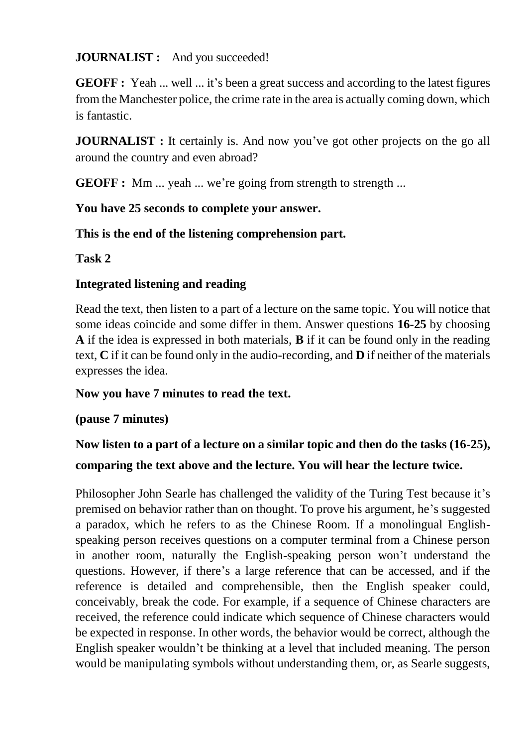#### **JOURNALIST :** And you succeeded!

**GEOFF :** Yeah ... well ... it's been a great success and according to the latest figures from the Manchester police, the crime rate in the area is actually coming down, which is fantastic.

**JOURNALIST** : It certainly is. And now you've got other projects on the go all around the country and even abroad?

**GEOFF**: Mm ... yeah ... we're going from strength to strength ...

#### **You have 25 seconds to complete your answer.**

**This is the end of the listening comprehension part.** 

**Task 2**

#### **Integrated listening and reading**

Read the text, then listen to a part of a lecture on the same topic. You will notice that some ideas coincide and some differ in them. Answer questions **16-25** by choosing **A** if the idea is expressed in both materials, **B** if it can be found only in the reading text, **C** if it can be found only in the audio-recording, and **D** if neither of the materials expresses the idea.

#### **Now you have 7 minutes to read the text.**

#### **(pause 7 minutes)**

# **Now listen to a part of a lecture on a similar topic and then do the tasks (16-25), comparing the text above and the lecture. You will hear the lecture twice.**

Philosopher John Searle has challenged the validity of the Turing Test because it's premised on behavior rather than on thought. To prove his argument, he's suggested a paradox, which he refers to as the Chinese Room. If a monolingual Englishspeaking person receives questions on a computer terminal from a Chinese person in another room, naturally the English-speaking person won't understand the questions. However, if there's a large reference that can be accessed, and if the reference is detailed and comprehensible, then the English speaker could, conceivably, break the code. For example, if a sequence of Chinese characters are received, the reference could indicate which sequence of Chinese characters would be expected in response. In other words, the behavior would be correct, although the English speaker wouldn't be thinking at a level that included meaning. The person would be manipulating symbols without understanding them, or, as Searle suggests,